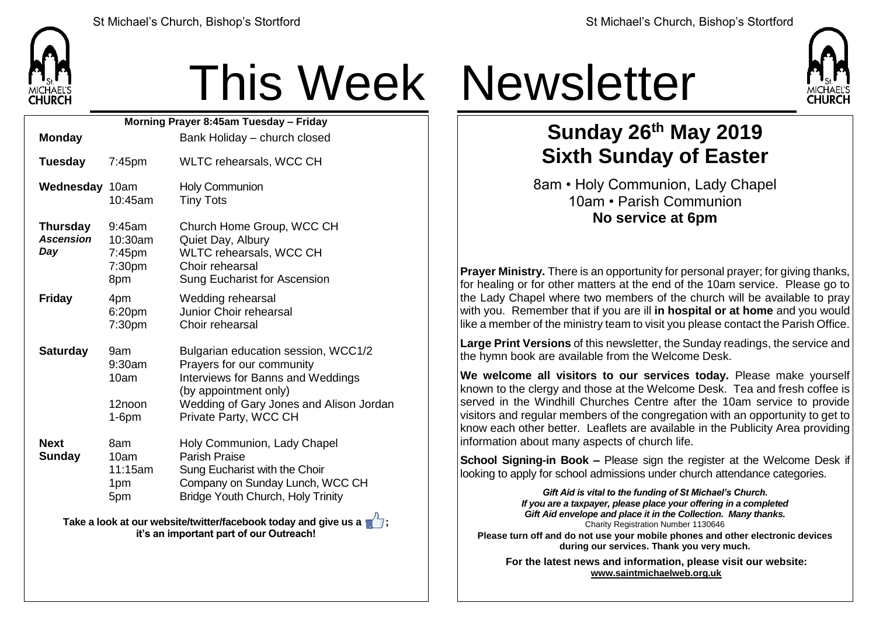

## This Week Newsletter

| Morning Prayer 8:45am Tuesday - Friday                                                                     |                                                 |                                                                                                                                                                                                           |  |  |  |
|------------------------------------------------------------------------------------------------------------|-------------------------------------------------|-----------------------------------------------------------------------------------------------------------------------------------------------------------------------------------------------------------|--|--|--|
| <b>Monday</b>                                                                                              |                                                 | Bank Holiday - church closed                                                                                                                                                                              |  |  |  |
| <b>Tuesday</b>                                                                                             | $7:45$ pm                                       | WLTC rehearsals, WCC CH                                                                                                                                                                                   |  |  |  |
| Wednesday 10am                                                                                             | 10:45am                                         | <b>Holy Communion</b><br><b>Tiny Tots</b>                                                                                                                                                                 |  |  |  |
| <b>Thursday</b><br><b>Ascension</b><br>Day                                                                 | 9:45am<br>10:30am<br>$7:45$ pm<br>7:30pm<br>8pm | Church Home Group, WCC CH<br>Quiet Day, Albury<br>WLTC rehearsals, WCC CH<br>Choir rehearsal<br>Sung Eucharist for Ascension                                                                              |  |  |  |
| <b>Friday</b>                                                                                              | 4pm<br>6:20pm<br>7:30pm                         | Wedding rehearsal<br>Junior Choir rehearsal<br>Choir rehearsal                                                                                                                                            |  |  |  |
| <b>Saturday</b>                                                                                            | 9am<br>9:30am<br>10am<br>12noon<br>$1-6$ pm     | Bulgarian education session, WCC1/2<br>Prayers for our community<br><b>Interviews for Banns and Weddings</b><br>(by appointment only)<br>Wedding of Gary Jones and Alison Jordan<br>Private Party, WCC CH |  |  |  |
| <b>Next</b><br><b>Sunday</b>                                                                               | 8am<br>10am<br>11:15am<br>1pm<br>5pm            | Holy Communion, Lady Chapel<br><b>Parish Praise</b><br>Sung Eucharist with the Choir<br>Company on Sunday Lunch, WCC CH<br><b>Bridge Youth Church, Holy Trinity</b>                                       |  |  |  |
| Take a look at our website/twitter/facebook today and give us a<br>it's an important part of our Outreach! |                                                 |                                                                                                                                                                                                           |  |  |  |



## **Sunday 26th May 2019 Sixth Sunday of Easter**

8am • Holy Communion, Lady Chapel 10am • Parish Communion **No service at 6pm**

**Prayer Ministry.** There is an opportunity for personal prayer; for giving thanks, for healing or for other matters at the end of the 10am service. Please go to the Lady Chapel where two members of the church will be available to pray with you. Remember that if you are ill **in hospital or at home** and you would like a member of the ministry team to visit you please contact the Parish Office.

**Large Print Versions** of this newsletter, the Sunday readings, the service and the hymn book are available from the Welcome Desk.

**We welcome all visitors to our services today.** Please make yourself known to the clergy and those at the Welcome Desk. Tea and fresh coffee is served in the Windhill Churches Centre after the 10am service to provide visitors and regular members of the congregation with an opportunity to get to know each other better. Leaflets are available in the Publicity Area providing information about many aspects of church life.

**School Signing-in Book –** Please sign the register at the Welcome Desk if looking to apply for school admissions under church attendance categories.

> *Gift Aid is vital to the funding of St Michael's Church. If you are a taxpayer, please place your offering in a completed Gift Aid envelope and place it in the Collection. Many thanks.* Charity Registration Number 1130646

**Please turn off and do not use your mobile phones and other electronic devices during our services. Thank you very much.**

**For the latest news and information, please visit our website: [www.saintmichaelweb.org.uk](http://www.saintmichaelweb.org.uk/)**